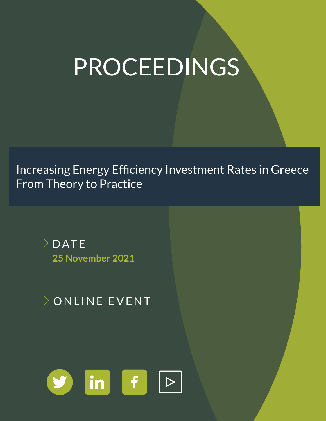# PROCEEDINGS

Increasing Energy Efficiency Investment Rates in Greece From Theory to Practice

 $\geq$  DATE **25 November 2021**

**ONLINE EVENT** 

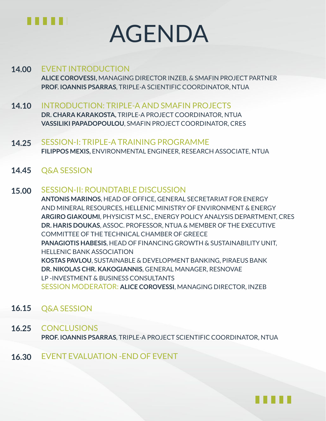

## AGENDA

## **14.00** EVENT INTRODUCTION

**ALICE COROVESSI,** MANAGING DIRECTOR INZEB, & SMAFIN PROJECT PARTNER **PROF. IOANNIS PSARRAS**, TRIPLE-A SCIENTIFIC COORDINATOR, NTUA

- INTRODUCTION: TRIPLE-A AND SMAFIN PROJECTS **DR. CHARA KARAKOSTA,** TRIPLE-A PROJECT COORDINATOR, NTUA **VASSILIKI PAPADOPOULOU**, SMAFIN PROJECT COORDINATOR, CRES **14.10**
- SESSION-I: TRIPLE-A TRAINING PROGRAMME **FILIPPOS MEXIS,** ENVIRONMENTAL ENGINEER, RESEARCH ASSOCIATE, NTUA **14.25**
- **14.45** Q&A SESSION
- SESSION-II: ROUNDTABLE DISCUSSION **15.00**

**ANTONIS MARINOS**, HEAD OF OFFICE, GENERAL SECRETARIAT FOR ENERGY AND MINERAL RESOURCES, HELLENIC MINISTRY OF ENVIRONMENT & ENERGY **ARGIRO GIAKOUMI**, PHYSICIST M.SC., ENERGY POLICY ANALYSIS DEPARTMENT, CRES **DR. HARIS DOUKAS**, ASSOC. PROFESSOR, NTUA & MEMBER OF THE EXECUTIVE COMMITTEE OF THE TECHNICAL CHAMBER OF GREECE **PANAGIOTIS HABESIS**, HEAD OF FINANCING GROWTH & SUSTAINABILITY UNIT, HELLENIC BANK ASSOCIATION **KOSTAS PAVLOU**, SUSTAINABLE & DEVELOPMENT BANKING, PIRAEUS BANK **DR. NIKOLAS CHR. KAKOGIANNIS**, GENERAL MANAGER, RESNOVAE LP -INVESTMENT & BUSINESS CONSULTANTS SESSION MODERATOR: **ALICE COROVESSI**, MANAGING DIRECTOR, INZEB

- **16.15** Q&A SESSION
- **CONCLUSIONS PROF. IOANNIS PSARRAS**, TRIPLE-A PROJECT SCIENTIFIC COORDINATOR, NTUA **16.25**
- **16.30** EVENT EVALUATION -END OF EVENT

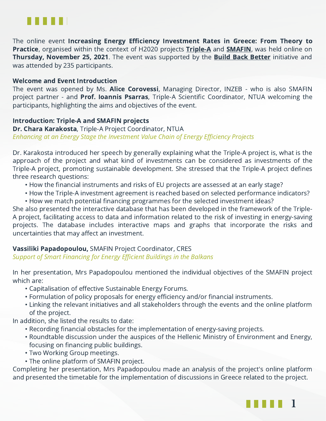

The online event Increasing Energy Efficiency Investment Rates in Greece: From Theory to Practice, organised within the context of H2020 projects [Triple-A](https://www.aaa-h2020.eu/) and **[SMAFIN](https://www.smafin.eu/)**, was held online on Thursday, November 25, 2021. The event was supported by the **Build Back [Better](https://www.buildbackbetter.gr/node/95)** initiative and was attended by 235 participants.

### Welcome and Event Introduction

The event was opened by Ms. Alice Corovessi, Managing Director, INZEB - who is also SMAFIN project partner - and Prof. Ioannis Psarras, Triple-A Scientific Coordinator, NTUA welcoming the participants, highlighting the aims and objectives of the event.

## Introduction: Triple-A and SMAFIN projects

Dr. Chara Karakosta, Triple-A Project Coordinator, NTUA Enhancing at an Energy Stage the Investment Value Chain of Energy Efficiency Projects

Dr. Karakosta introduced her speech by generally explaining what the Triple-A project is, what is the approach of the project and what kind of investments can be considered as investments of the Triple-A project, promoting sustainable development. She stressed that the Triple-A project defines three research questions:

- How the financial instruments and risks of EU projects are assessed at an early stage?
- Ηow the Triple-A investment agreement is reached based on selected performance indicators?
- Ηow we match potential financing programmes for the selected investment ideas?

She also presented the interactive database that has been developed in the framework of the Triple-A project, facilitating access to data and information related to the risk of investing in energy-saving projects. The database includes interactive maps and graphs that incorporate the risks and uncertainties that may affect an investment.

## Vassiliki Papadopoulou, SMAFIN Project Coordinator, CRES

Support of Smart Financing for Energy Efficient Buildings in the Balkans

In her presentation, Mrs Papadopoulou mentioned the individual objectives of the SMAFIN project which are:

- Capitalisation of effective Sustainable Energy Forums.
- Formulation of policy proposals for energy efficiency and/or financial instruments.
- Linking the relevant initiatives and all stakeholders through the events and the online platform of the project.

In addition, she listed the results to date:

- Recording financial obstacles for the implementation of energy-saving projects.
- Roundtable discussion under the auspices of the Hellenic Ministry of Environment and Energy, focusing on financing public buildings.
- Two Working Group meetings.
- The online platform of SMAFIN project.

Completing her presentation, Mrs Papadopoulou made an analysis of the project's online platform and presented the timetable for the implementation of discussions in Greece related to the project.

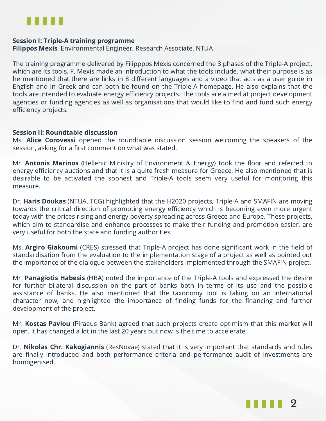

#### Session I: Triple-A training programme

Filippos Mexis, Environmental Engineer, Research Associate, NTUA

The training programme delivered by Filipppos Mexis concerned the 3 phases of the Triple-A project, which are its tools. F. Mexis made an introduction to what the tools include, what their purpose is as he mentioned that there are links in 8 different languages and a video that acts as a user guide in English and in Greek and can both be found on the Triple-A homepage. He also explains that the tools are intended to evaluate energy efficiency projects. The tools are aimed at project development agencies or funding agencies as well as organisations that would like to find and fund such energy efficiency projects.

#### Session II: Roundtable discussion

Ms. **Alice Corovessi** opened the roundtable discussion session welcoming the speakers of the session, asking for a first comment on what was stated.

Mr. **Antonis Marinos** (Hellenic Ministry of Environment & Energy) took the floor and referred to energy efficiency auctions and that it is a quite fresh measure for Greece. He also mentioned that is desirable to be activated the soonest and Triple-A tools seem very useful for monitoring this measure.

Dr. Haris Doukas (NTUA, TCG) highlighted that the H2020 projects, Triple-A and SMAFIN are moving towards the critical direction of promoting energy efficiency which is becoming even more urgent today with the prices rising and energy poverty spreading across Greece and Europe. These projects, which aim to standardise and enhance processes to make their funding and promotion easier, are very useful for both the state and funding authorities.

Ms. **Argiro Giakoumi** (CRES) stressed that Triple-A project has done significant work in the field of standardisation from the evaluation to the implementation stage of a project as well as pointed out the importance of the dialogue between the stakeholders implemented through the SMAFIN project.

Mr. Panagiotis Habesis (HBA) noted the importance of the Triple-A tools and expressed the desire for further bilateral discussion on the part of banks both in terms of its use and the possible assistance of banks. He also mentioned that the taxonomy tool is taking on an international character now, and highlighted the importance of finding funds for the financing and further development of the project.

Mr. Kostas Pavlou (Piraeus Bank) agreed that such projects create optimism that this market will open. It has changed a lot in the last 20 years but now is the time to accelerate.

Dr. Nikolas Chr. Kakogiannis (ResNovae) stated that it is very important that standards and rules are finally introduced and both performance criteria and performance audit of investments are homogenised.

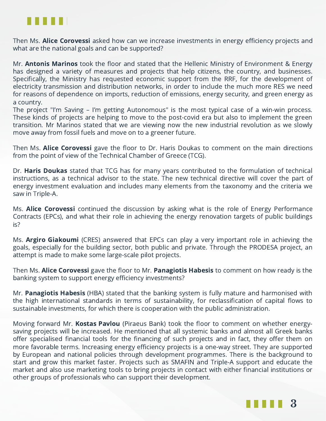

Then Ms. **Alice Corovessi** asked how can we increase investments in energy efficiency projects and what are the national goals and can be supported?

Mr. **Antonis Marinos** took the floor and stated that the Hellenic Ministry of Environment & Energy has designed a variety of measures and projects that help citizens, the country, and businesses. Specifically, the Ministry has requested economic support from the RRF, for the development of electricity transmission and distribution networks, in order to include the much more RES we need for reasons of dependence on imports, reduction of emissions, energy security, and green energy as a country.

The project "I'm Saving – I'm getting Autonomous" is the most typical case of a win-win process. These kinds of projects are helping to move to the post-covid era but also to implement the green transition. Mr Marinos stated that we are viewing now the new industrial revolution as we slowly move away from fossil fuels and move on to a greener future.

Then Ms. **Alice Corovessi** gave the floor to Dr. Haris Doukas to comment on the main directions from the point of view of the Technical Chamber of Greece (TCG).

Dr. Haris Doukas stated that TCG has for many years contributed to the formulation of technical instructions, as a technical advisor to the state. The new technical directive will cover the part of energy investment evaluation and includes many elements from the taxonomy and the criteria we saw in Triple-A.

Ms. **Alice Corovessi** continued the discussion by asking what is the role of Energy Performance Contracts (EPCs), and what their role in achieving the energy renovation targets of public buildings is?

Ms. **Argiro Giakoumi** (CRES) answered that EPCs can play a very important role in achieving the goals, especially for the building sector, both public and private. Through the PRODESA project, an attempt is made to make some large-scale pilot projects.

Then Ms. **Alice Corovessi** gave the floor to Mr. Panagiotis Habesis to comment on how ready is the banking system to support energy efficiency investments?

Mr. Panagiotis Habesis (HBA) stated that the banking system is fully mature and harmonised with the high international standards in terms of sustainability, for reclassification of capital flows to sustainable investments, for which there is cooperation with the public administration.

Moving forward Mr. Kostas Pavlou (Piraeus Bank) took the floor to comment on whether energysaving projects will be increased. He mentioned that all systemic banks and almost all Greek banks offer specialised financial tools for the financing of such projects and in fact, they offer them on more favorable terms. Increasing energy efficiency projects is a one-way street. They are supported by European and national policies through development programmes. There is the background to start and grow this market faster. Projects such as SMAFIN and Triple-A support and educate the market and also use marketing tools to bring projects in contact with either financial institutions or other groups of professionals who can support their development.

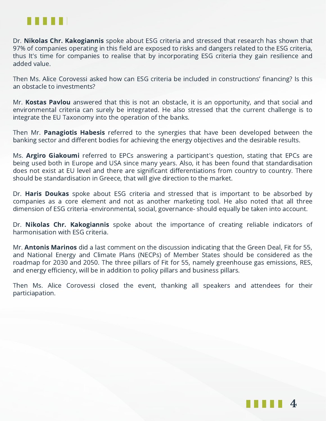

Dr. Nikolas Chr. Kakogiannis spoke about ESG criteria and stressed that research has shown that 97% of companies operating in this field are exposed to risks and dangers related to the ESG criteria, thus It's time for companies to realise that by incorporating ESG criteria they gain resilience and added value.

Then Ms. Alice Corovessi asked how can ESG criteria be included in constructions' financing? Is this an obstacle to investments?

Mr. Kostas Pavlou answered that this is not an obstacle, it is an opportunity, and that social and environmental criteria can surely be integrated. He also stressed that the current challenge is to integrate the EU Taxonomy into the operation of the banks.

Then Mr. Panagiotis Habesis referred to the synergies that have been developed between the banking sector and different bodies for achieving the energy objectives and the desirable results.

Ms. **Argiro Giakoumi** referred to EPCs answering a participant's question, stating that EPCs are being used both in Europe and USA since many years. Also, it has been found that standardisation does not exist at EU level and there are significant differentiations from country to country. There should be standardisation in Greece, that will give direction to the market.

Dr. Haris Doukas spoke about ESG criteria and stressed that is important to be absorbed by companies as a core element and not as another marketing tool. He also noted that all three dimension of ESG criteria -environmental, social, governance- should equally be taken into account.

Dr. Nikolas Chr. Kakogiannis spoke about the importance of creating reliable indicators of harmonisation with ESG criteria.

Mr. **Antonis Marinos** did a last comment on the discussion indicating that the Green Deal, Fit for 55, and National Energy and Climate Plans (NECPs) of Member States should be considered as the roadmap for 2030 and 2050. The three pillars of Fit for 55, namely greenhouse gas emissions, RES, and energy efficiency, will be in addition to policy pillars and business pillars.

Then Ms. Alice Corovessi closed the event, thanking all speakers and attendees for their particiapation.